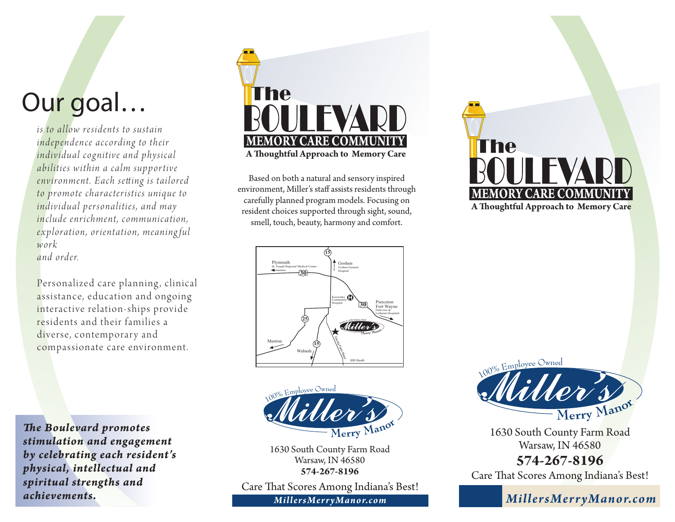# Our goal…

 *ind epen<sup>d</sup> enc e ac <sup>c</sup> ording to their is to allow residents to sustain indiv idual <sup>c</sup> <sup>o</sup> <sup>g</sup> nitive and phy sic al abilitie s w ithin a c alm suppor tive env ironment . E ach s eing is tai<sup>l</sup> ored to promote charac ter istic s uniq ue to indiv idual pers onalitie s, and may includ e enr ichment, c ommunic ation , <sup>e</sup> xp<sup>l</sup> oration , or ientation , meaning ful work*<mark>a</mark>nd order.

Personalized care planning, clinical assistance, education and ongoing interactive relation-ships provide residents and their families a diverse, contemporary and compassionate care environment.

**The Boulevard promotes** *stimulation and engagement by celebrating each resident's physical, intellectual and spiritual strengths and achievements.*



Based on both a natural and sensory inspired environment, Miller's staff assists residents through carefully planned program models. Focusing on resident choices supported through sight, sound, smell, touch, beauty, harmony and comfort.





1630 South County Farm RoadWarsaw, IN 46580**574-267-8196**

Care That Scores Among Indiana's Best!

*Miller sMer ryManor.com*





1630 South County Farm RoadWarsaw, IN 46580

#### **574-267-8196**

Care That Scores Among Indiana's Best!

#### *Miller sMer ryManor.com*